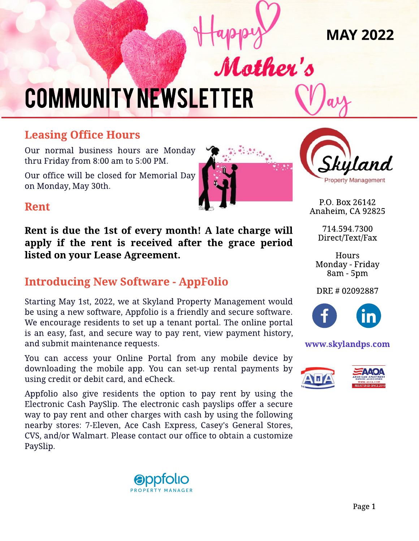MAY 2022

# **COMMUNITY NEWSLETTER**

# **Leasing Office Hours**

Our normal business hours are Monday thru Friday from 8:00 am to 5:00 PM.

Our office will be closed for Memorial Day on Monday, May 30th.



Mother's



P.O. Box 26142 Anaheim, CA 92825

> 714.594.7300 Direct/Text/Fax

**Hours** Monday - Friday 8am - 5pm

#### DRE # 02092887



#### www.skylandps.com



### Rent

Rent is due the 1st of every month! A late charge will apply if the rent is received after the grace period listed on your Lease Agreement.

# **Introducing New Software - AppFolio**

Starting May 1st, 2022, we at Skyland Property Management would be using a new software, Appfolio is a friendly and secure software. We encourage residents to set up a tenant portal. The online portal is an easy, fast, and secure way to pay rent, view payment history, and submit maintenance requests.

You can access your Online Portal from any mobile device by downloading the mobile app. You can set-up rental payments by using credit or debit card, and eCheck.

Appfolio also give residents the option to pay rent by using the Electronic Cash PaySlip. The electronic cash payslips offer a secure way to pay rent and other charges with cash by using the following nearby stores: 7-Eleven, Ace Cash Express, Casey's General Stores, CVS, and/or Walmart. Please contact our office to obtain a customize PaySlip.